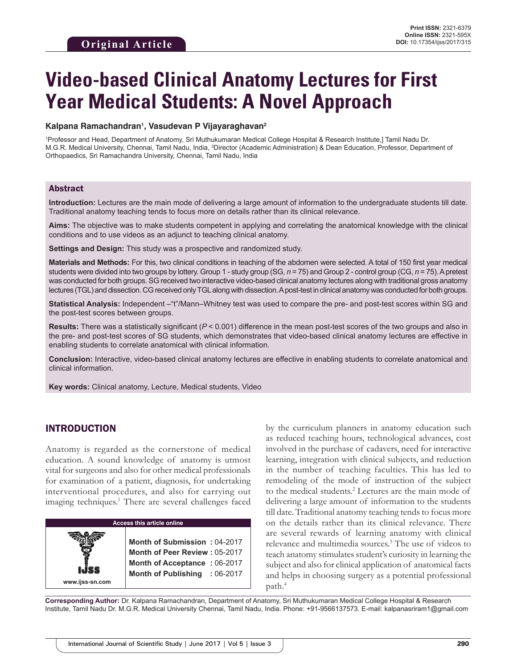# **Video-based Clinical Anatomy Lectures for First Year Medical Students: A Novel Approach**

#### **Kalpana Ramachandran1 , Vasudevan P Vijayaraghavan2**

1 Professor and Head, Department of Anatomy, Sri Muthukumaran Medical College Hospital & Research Institute,] Tamil Nadu Dr. M.G.R. Medical University, Chennai, Tamil Nadu, India, <sup>2</sup>Director (Academic Administration) & Dean Education, Professor, Department of Orthopaedics, Sri Ramachandra University, Chennai, Tamil Nadu, India

#### Abstract

**Introduction:** Lectures are the main mode of delivering a large amount of information to the undergraduate students till date. Traditional anatomy teaching tends to focus more on details rather than its clinical relevance.

**Aims:** The objective was to make students competent in applying and correlating the anatomical knowledge with the clinical conditions and to use videos as an adjunct to teaching clinical anatomy.

**Settings and Design:** This study was a prospective and randomized study.

**Materials and Methods:** For this, two clinical conditions in teaching of the abdomen were selected. A total of 150 first year medical students were divided into two groups by lottery. Group 1 - study group (SG, *n* = 75) and Group 2 - control group (CG, *n* = 75). Apretest was conducted for both groups. SG received two interactive video-based clinical anatomy lectures along with traditional gross anatomy lectures (TGL) and dissection. CG received only TGL along with dissection. Apost-test in clinical anatomy was conducted for both groups.

**Statistical Analysis:** Independent –"t"/Mann–Whitney test was used to compare the pre- and post-test scores within SG and the post-test scores between groups.

**Results:** There was a statistically significant (*P* < 0.001) difference in the mean post-test scores of the two groups and also in the pre- and post-test scores of SG students, which demonstrates that video-based clinical anatomy lectures are effective in enabling students to correlate anatomical with clinical information.

**Conclusion:** Interactive, video-based clinical anatomy lectures are effective in enabling students to correlate anatomical and clinical information.

**Key words:** Clinical anatomy, Lecture, Medical students, Video

## INTRODUCTION

Anatomy is regarded as the cornerstone of medical education. A sound knowledge of anatomy is utmost vital for surgeons and also for other medical professionals for examination of a patient, diagnosis, for undertaking interventional procedures, and also for carrying out imaging techniques.<sup>1</sup> There are several challenges faced

**Access this article online www.ijss-sn.com Month of Submission :** 04-2017 **Month of Peer Review :** 05-2017 **Month of Acceptance :** 06-2017 **Month of Publishing :** 06-2017 by the curriculum planners in anatomy education such as reduced teaching hours, technological advances, cost involved in the purchase of cadavers, need for interactive learning, integration with clinical subjects, and reduction in the number of teaching faculties. This has led to remodeling of the mode of instruction of the subject to the medical students.<sup>2</sup> Lectures are the main mode of delivering a large amount of information to the students till date. Traditional anatomy teaching tends to focus more on the details rather than its clinical relevance. There are several rewards of learning anatomy with clinical relevance and multimedia sources.3 The use of videos to teach anatomy stimulates student's curiosity in learning the subject and also for clinical application of anatomical facts and helps in choosing surgery as a potential professional path.4

**Corresponding Author:** Dr. Kalpana Ramachandran, Department of Anatomy, Sri Muthukumaran Medical College Hospital & Research Institute, Tamil Nadu Dr. M.G.R. Medical University Chennai, Tamil Nadu, India. Phone: +91-9566137573. E-mail: kalpanasriram1@gmail.com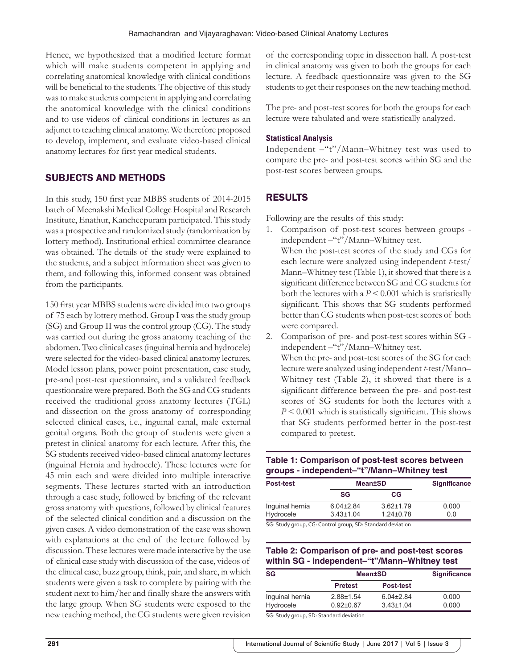Hence, we hypothesized that a modified lecture format which will make students competent in applying and correlating anatomical knowledge with clinical conditions will be beneficial to the students. The objective of this study was to make students competent in applying and correlating the anatomical knowledge with the clinical conditions and to use videos of clinical conditions in lectures as an adjunct to teaching clinical anatomy. We therefore proposed to develop, implement, and evaluate video-based clinical anatomy lectures for first year medical students.

## SUBJECTS AND METHODS

In this study, 150 first year MBBS students of 2014-2015 batch of Meenakshi Medical College Hospital and Research Institute, Enathur, Kancheepuram participated. This study was a prospective and randomized study (randomization by lottery method). Institutional ethical committee clearance was obtained. The details of the study were explained to the students, and a subject information sheet was given to them, and following this, informed consent was obtained from the participants.

150 first year MBBS students were divided into two groups of 75 each by lottery method. Group I was the study group (SG) and Group II was the control group (CG). The study was carried out during the gross anatomy teaching of the abdomen. Two clinical cases (inguinal hernia and hydrocele) were selected for the video-based clinical anatomy lectures. Model lesson plans, power point presentation, case study, pre-and post-test questionnaire, and a validated feedback questionnaire were prepared. Both the SG and CG students received the traditional gross anatomy lectures (TGL) and dissection on the gross anatomy of corresponding selected clinical cases, i.e., inguinal canal, male external genital organs. Both the group of students were given a pretest in clinical anatomy for each lecture. After this, the SG students received video-based clinical anatomy lectures (inguinal Hernia and hydrocele). These lectures were for 45 min each and were divided into multiple interactive segments. These lectures started with an introduction through a case study, followed by briefing of the relevant gross anatomy with questions, followed by clinical features of the selected clinical condition and a discussion on the given cases. A video demonstration of the case was shown with explanations at the end of the lecture followed by discussion. These lectures were made interactive by the use of clinical case study with discussion of the case, videos of the clinical case, buzz group, think, pair, and share, in which students were given a task to complete by pairing with the student next to him/her and finally share the answers with the large group. When SG students were exposed to the new teaching method, the CG students were given revision

of the corresponding topic in dissection hall. A post-test in clinical anatomy was given to both the groups for each lecture. A feedback questionnaire was given to the SG students to get their responses on the new teaching method.

The pre- and post-test scores for both the groups for each lecture were tabulated and were statistically analyzed.

#### **Statistical Analysis**

Independent –"t"/Mann–Whitney test was used to compare the pre- and post-test scores within SG and the post-test scores between groups.

## RESULTS

Following are the results of this study:

- 1. Comparison of post-test scores between groups independent –"t"/Mann–Whitney test. When the post-test scores of the study and CGs for each lecture were analyzed using independent *t*-test/ Mann–Whitney test (Table 1), it showed that there is a significant difference between SG and CG students for both the lectures with a  $P \leq 0.001$  which is statistically significant. This shows that SG students performed better than CG students when post-test scores of both were compared.
- 2. Comparison of pre- and post-test scores within SG independent –"t"/Mann–Whitney test. When the pre- and post-test scores of the SG for each lecture were analyzed using independent *t*-test/Mann– Whitney test (Table 2), it showed that there is a significant difference between the pre- and post-test scores of SG students for both the lectures with a *P* < 0.001 which is statistically significant. This shows that SG students performed better in the post-test compared to pretest.

### **Table 1: Comparison of post‑test scores between groups ‑ independent–"t"/Mann–Whitney test**

| Post-test                                                  | <b>Mean±SD</b>  |                 | <b>Significance</b> |
|------------------------------------------------------------|-----------------|-----------------|---------------------|
|                                                            | SG              | СG              |                     |
| Inquinal hernia                                            | $6.04\pm2.84$   | $3.62 \pm 1.79$ | 0.000               |
| Hydrocele                                                  | $3.43 \pm 1.04$ | $1.24 \pm 0.78$ | 0.0                 |
| SG: Study group, CG: Control group, SD: Standard deviation |                 |                 |                     |

### **Table 2: Comparison of pre‑ and post‑test scores within SG ‑ independent–"t"/Mann–Whitney test**

| <b>SG</b>       | <b>Mean±SD</b>  |                  | <b>Significance</b> |
|-----------------|-----------------|------------------|---------------------|
|                 | <b>Pretest</b>  | <b>Post-test</b> |                     |
| Inguinal hernia | $2.88 + 1.54$   | $6.04\pm2.84$    | 0.000               |
| Hydrocele       | $0.92 \pm 0.67$ | $3.43 \pm 1.04$  | 0.000               |
| ----<br>-- -    | $\cdots$        |                  |                     |

SG: Study group, SD: Standard deviation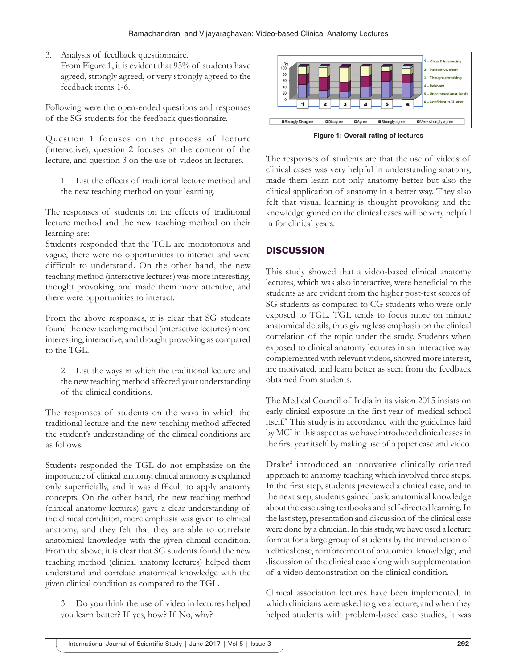- 3. Analysis of feedback questionnaire.
	- From Figure 1, it is evident that 95% of students have agreed, strongly agreed, or very strongly agreed to the feedback items 1-6.

Following were the open-ended questions and responses of the SG students for the feedback questionnaire.

Question 1 focuses on the process of lecture (interactive), question 2 focuses on the content of the lecture, and question 3 on the use of videos in lectures.

1. List the effects of traditional lecture method and the new teaching method on your learning.

The responses of students on the effects of traditional lecture method and the new teaching method on their learning are:

Students responded that the TGL are monotonous and vague, there were no opportunities to interact and were difficult to understand. On the other hand, the new teaching method (interactive lectures) was more interesting, thought provoking, and made them more attentive, and there were opportunities to interact.

From the above responses, it is clear that SG students found the new teaching method (interactive lectures) more interesting, interactive, and thought provoking as compared to the TGL.

2. List the ways in which the traditional lecture and the new teaching method affected your understanding of the clinical conditions.

The responses of students on the ways in which the traditional lecture and the new teaching method affected the student's understanding of the clinical conditions are as follows.

Students responded the TGL do not emphasize on the importance of clinical anatomy, clinical anatomy is explained only superficially, and it was difficult to apply anatomy concepts. On the other hand, the new teaching method (clinical anatomy lectures) gave a clear understanding of the clinical condition, more emphasis was given to clinical anatomy, and they felt that they are able to correlate anatomical knowledge with the given clinical condition. From the above, it is clear that SG students found the new teaching method (clinical anatomy lectures) helped them understand and correlate anatomical knowledge with the given clinical condition as compared to the TGL.

3. Do you think the use of video in lectures helped you learn better? If yes, how? If No, why?



**Figure 1: Overall rating of lectures**

The responses of students are that the use of videos of clinical cases was very helpful in understanding anatomy, made them learn not only anatomy better but also the clinical application of anatomy in a better way. They also felt that visual learning is thought provoking and the knowledge gained on the clinical cases will be very helpful in for clinical years.

# **DISCUSSION**

This study showed that a video-based clinical anatomy lectures, which was also interactive, were beneficial to the students as are evident from the higher post-test scores of SG students as compared to CG students who were only exposed to TGL. TGL tends to focus more on minute anatomical details, thus giving less emphasis on the clinical correlation of the topic under the study. Students when exposed to clinical anatomy lectures in an interactive way complemented with relevant videos, showed more interest, are motivated, and learn better as seen from the feedback obtained from students.

The Medical Council of India in its vision 2015 insists on early clinical exposure in the first year of medical school itself.5 This study is in accordance with the guidelines laid by MCI in this aspect as we have introduced clinical cases in the first year itself by making use of a paper case and video.

Drake2 introduced an innovative clinically oriented approach to anatomy teaching which involved three steps. In the first step, students previewed a clinical case, and in the next step, students gained basic anatomical knowledge about the case using textbooks and self-directed learning. In the last step, presentation and discussion of the clinical case were done by a clinician. In this study, we have used a lecture format for a large group of students by the introduction of a clinical case, reinforcement of anatomical knowledge, and discussion of the clinical case along with supplementation of a video demonstration on the clinical condition.

Clinical association lectures have been implemented, in which clinicians were asked to give a lecture, and when they helped students with problem-based case studies, it was